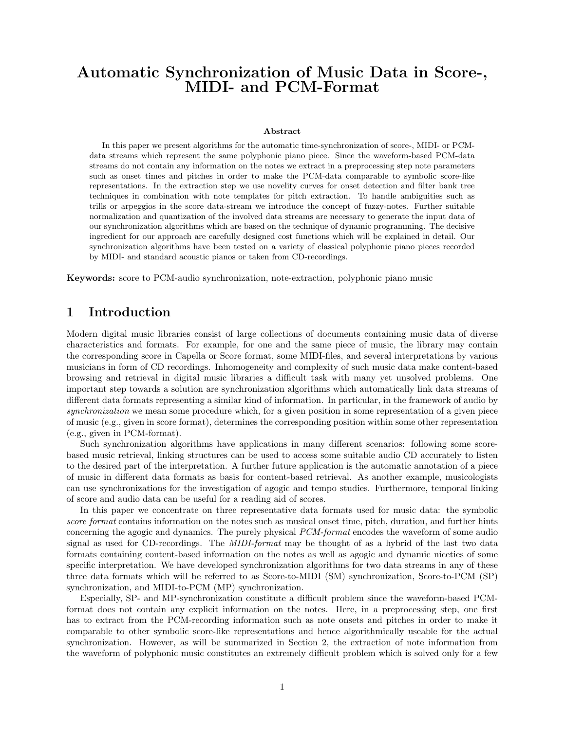# Automatic Synchronization of Music Data in Score-, MIDI- and PCM-Format

#### Abstract

In this paper we present algorithms for the automatic time-synchronization of score-, MIDI- or PCMdata streams which represent the same polyphonic piano piece. Since the waveform-based PCM-data streams do not contain any information on the notes we extract in a preprocessing step note parameters such as onset times and pitches in order to make the PCM-data comparable to symbolic score-like representations. In the extraction step we use novelity curves for onset detection and filter bank tree techniques in combination with note templates for pitch extraction. To handle ambiguities such as trills or arpeggios in the score data-stream we introduce the concept of fuzzy-notes. Further suitable normalization and quantization of the involved data streams are necessary to generate the input data of our synchronization algorithms which are based on the technique of dynamic programming. The decisive ingredient for our approach are carefully designed cost functions which will be explained in detail. Our synchronization algorithms have been tested on a variety of classical polyphonic piano pieces recorded by MIDI- and standard acoustic pianos or taken from CD-recordings.

Keywords: score to PCM-audio synchronization, note-extraction, polyphonic piano music

# 1 Introduction

Modern digital music libraries consist of large collections of documents containing music data of diverse characteristics and formats. For example, for one and the same piece of music, the library may contain the corresponding score in Capella or Score format, some MIDI-files, and several interpretations by various musicians in form of CD recordings. Inhomogeneity and complexity of such music data make content-based browsing and retrieval in digital music libraries a difficult task with many yet unsolved problems. One important step towards a solution are synchronization algorithms which automatically link data streams of different data formats representing a similar kind of information. In particular, in the framework of audio by synchronization we mean some procedure which, for a given position in some representation of a given piece of music (e.g., given in score format), determines the corresponding position within some other representation (e.g., given in PCM-format).

Such synchronization algorithms have applications in many different scenarios: following some scorebased music retrieval, linking structures can be used to access some suitable audio CD accurately to listen to the desired part of the interpretation. A further future application is the automatic annotation of a piece of music in different data formats as basis for content-based retrieval. As another example, musicologists can use synchronizations for the investigation of agogic and tempo studies. Furthermore, temporal linking of score and audio data can be useful for a reading aid of scores.

In this paper we concentrate on three representative data formats used for music data: the symbolic score format contains information on the notes such as musical onset time, pitch, duration, and further hints concerning the agogic and dynamics. The purely physical PCM-format encodes the waveform of some audio signal as used for CD-recordings. The *MIDI-format* may be thought of as a hybrid of the last two data formats containing content-based information on the notes as well as agogic and dynamic niceties of some specific interpretation. We have developed synchronization algorithms for two data streams in any of these three data formats which will be referred to as Score-to-MIDI (SM) synchronization, Score-to-PCM (SP) synchronization, and MIDI-to-PCM (MP) synchronization.

Especially, SP- and MP-synchronization constitute a difficult problem since the waveform-based PCMformat does not contain any explicit information on the notes. Here, in a preprocessing step, one first has to extract from the PCM-recording information such as note onsets and pitches in order to make it comparable to other symbolic score-like representations and hence algorithmically useable for the actual synchronization. However, as will be summarized in Section 2, the extraction of note information from the waveform of polyphonic music constitutes an extremely difficult problem which is solved only for a few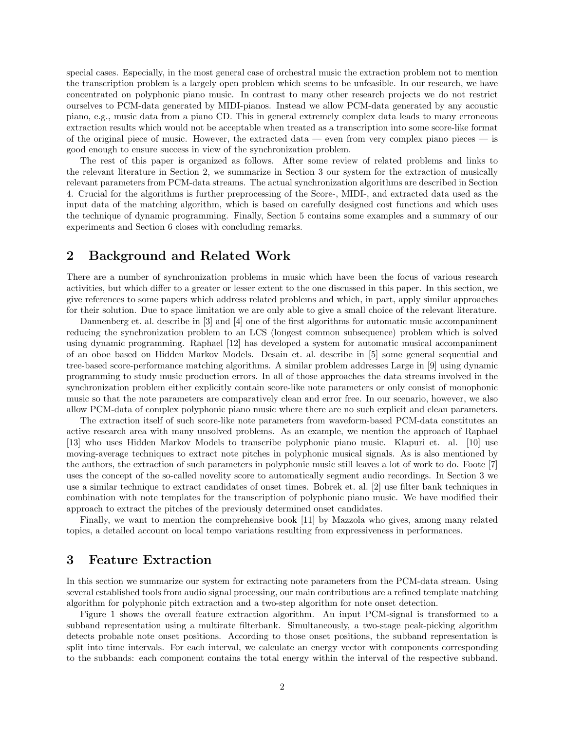special cases. Especially, in the most general case of orchestral music the extraction problem not to mention the transcription problem is a largely open problem which seems to be unfeasible. In our research, we have concentrated on polyphonic piano music. In contrast to many other research projects we do not restrict ourselves to PCM-data generated by MIDI-pianos. Instead we allow PCM-data generated by any acoustic piano, e.g., music data from a piano CD. This in general extremely complex data leads to many erroneous extraction results which would not be acceptable when treated as a transcription into some score-like format of the original piece of music. However, the extracted data — even from very complex piano pieces — is good enough to ensure success in view of the synchronization problem.

The rest of this paper is organized as follows. After some review of related problems and links to the relevant literature in Section 2, we summarize in Section 3 our system for the extraction of musically relevant parameters from PCM-data streams. The actual synchronization algorithms are described in Section 4. Crucial for the algorithms is further preprocessing of the Score-, MIDI-, and extracted data used as the input data of the matching algorithm, which is based on carefully designed cost functions and which uses the technique of dynamic programming. Finally, Section 5 contains some examples and a summary of our experiments and Section 6 closes with concluding remarks.

# 2 Background and Related Work

There are a number of synchronization problems in music which have been the focus of various research activities, but which differ to a greater or lesser extent to the one discussed in this paper. In this section, we give references to some papers which address related problems and which, in part, apply similar approaches for their solution. Due to space limitation we are only able to give a small choice of the relevant literature.

Dannenberg et. al. describe in [3] and [4] one of the first algorithms for automatic music accompaniment reducing the synchronization problem to an LCS (longest common subsequence) problem which is solved using dynamic programming. Raphael [12] has developed a system for automatic musical accompaniment of an oboe based on Hidden Markov Models. Desain et. al. describe in [5] some general sequential and tree-based score-performance matching algorithms. A similar problem addresses Large in [9] using dynamic programming to study music production errors. In all of those approaches the data streams involved in the synchronization problem either explicitly contain score-like note parameters or only consist of monophonic music so that the note parameters are comparatively clean and error free. In our scenario, however, we also allow PCM-data of complex polyphonic piano music where there are no such explicit and clean parameters.

The extraction itself of such score-like note parameters from waveform-based PCM-data constitutes an active research area with many unsolved problems. As an example, we mention the approach of Raphael [13] who uses Hidden Markov Models to transcribe polyphonic piano music. Klapuri et. al. [10] use moving-average techniques to extract note pitches in polyphonic musical signals. As is also mentioned by the authors, the extraction of such parameters in polyphonic music still leaves a lot of work to do. Foote [7] uses the concept of the so-called novelity score to automatically segment audio recordings. In Section 3 we use a similar technique to extract candidates of onset times. Bobrek et. al. [2] use filter bank techniques in combination with note templates for the transcription of polyphonic piano music. We have modified their approach to extract the pitches of the previously determined onset candidates.

Finally, we want to mention the comprehensive book [11] by Mazzola who gives, among many related topics, a detailed account on local tempo variations resulting from expressiveness in performances.

### 3 Feature Extraction

In this section we summarize our system for extracting note parameters from the PCM-data stream. Using several established tools from audio signal processing, our main contributions are a refined template matching algorithm for polyphonic pitch extraction and a two-step algorithm for note onset detection.

Figure 1 shows the overall feature extraction algorithm. An input PCM-signal is transformed to a subband representation using a multirate filterbank. Simultaneously, a two-stage peak-picking algorithm detects probable note onset positions. According to those onset positions, the subband representation is split into time intervals. For each interval, we calculate an energy vector with components corresponding to the subbands: each component contains the total energy within the interval of the respective subband.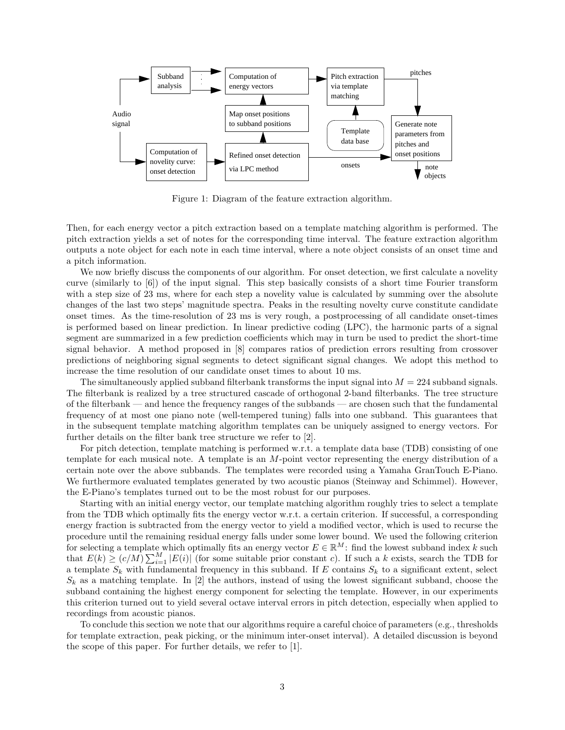

Figure 1: Diagram of the feature extraction algorithm.

Then, for each energy vector a pitch extraction based on a template matching algorithm is performed. The pitch extraction yields a set of notes for the corresponding time interval. The feature extraction algorithm outputs a note object for each note in each time interval, where a note object consists of an onset time and a pitch information.

We now briefly discuss the components of our algorithm. For onset detection, we first calculate a novelity curve (similarly to [6]) of the input signal. This step basically consists of a short time Fourier transform with a step size of 23 ms, where for each step a novelity value is calculated by summing over the absolute changes of the last two steps' magnitude spectra. Peaks in the resulting novelty curve constitute candidate onset times. As the time-resolution of 23 ms is very rough, a postprocessing of all candidate onset-times is performed based on linear prediction. In linear predictive coding (LPC), the harmonic parts of a signal segment are summarized in a few prediction coefficients which may in turn be used to predict the short-time signal behavior. A method proposed in [8] compares ratios of prediction errors resulting from crossover predictions of neighboring signal segments to detect significant signal changes. We adopt this method to increase the time resolution of our candidate onset times to about 10 ms.

The simultaneously applied subband filterbank transforms the input signal into  $M = 224$  subband signals. The filterbank is realized by a tree structured cascade of orthogonal 2-band filterbanks. The tree structure of the filterbank — and hence the frequency ranges of the subbands — are chosen such that the fundamental frequency of at most one piano note (well-tempered tuning) falls into one subband. This guarantees that in the subsequent template matching algorithm templates can be uniquely assigned to energy vectors. For further details on the filter bank tree structure we refer to [2].

For pitch detection, template matching is performed w.r.t. a template data base (TDB) consisting of one template for each musical note. A template is an M-point vector representing the energy distribution of a certain note over the above subbands. The templates were recorded using a Yamaha GranTouch E-Piano. We furthermore evaluated templates generated by two acoustic pianos (Steinway and Schimmel). However, the E-Piano's templates turned out to be the most robust for our purposes.

Starting with an initial energy vector, our template matching algorithm roughly tries to select a template from the TDB which optimally fits the energy vector w.r.t. a certain criterion. If successful, a corresponding energy fraction is subtracted from the energy vector to yield a modified vector, which is used to recurse the procedure until the remaining residual energy falls under some lower bound. We used the following criterion for selecting a template which optimally fits an energy vector  $E \in \mathbb{R}^M$ : find the lowest subband index k such for selecting a template which optimally fits an energy vector  $E \in \mathbb{R}^{n+1}$ : find the lowest subband mdex k such that  $E(k) \ge (c/M) \sum_{i=1}^{M} |E(i)|$  (for some suitable prior constant c). If such a k exists, search the TDB a template  $S_k$  with fundamental frequency in this subband. If E contains  $S_k$  to a significant extent, select  $S_k$  as a matching template. In [2] the authors, instead of using the lowest significant subband, choose the subband containing the highest energy component for selecting the template. However, in our experiments this criterion turned out to yield several octave interval errors in pitch detection, especially when applied to recordings from acoustic pianos.

To conclude this section we note that our algorithms require a careful choice of parameters (e.g., thresholds for template extraction, peak picking, or the minimum inter-onset interval). A detailed discussion is beyond the scope of this paper. For further details, we refer to [1].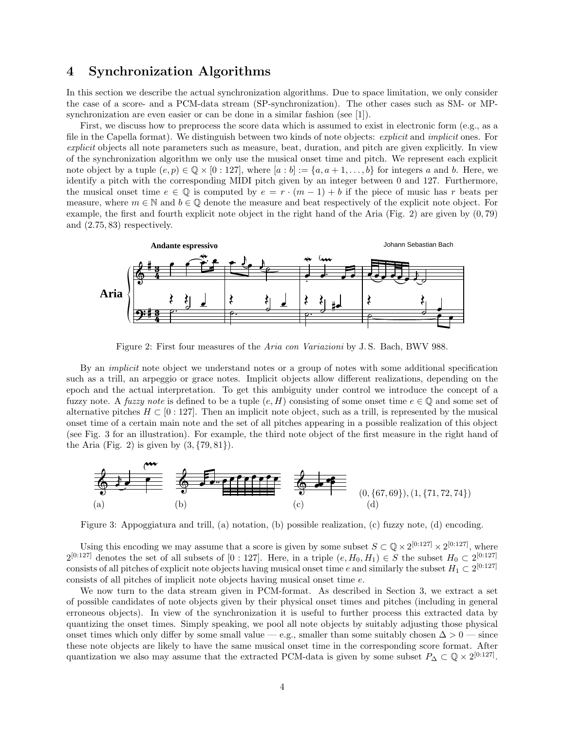# 4 Synchronization Algorithms

In this section we describe the actual synchronization algorithms. Due to space limitation, we only consider the case of a score- and a PCM-data stream (SP-synchronization). The other cases such as SM- or MPsynchronization are even easier or can be done in a similar fashion (see [1]).

First, we discuss how to preprocess the score data which is assumed to exist in electronic form (e.g., as a file in the Capella format). We distinguish between two kinds of note objects: explicit and implicit ones. For explicit objects all note parameters such as measure, beat, duration, and pitch are given explicitly. In view of the synchronization algorithm we only use the musical onset time and pitch. We represent each explicit note object by a tuple  $(e, p) \in \mathbb{Q} \times [0:127]$ , where  $[a:b] := \{a, a+1, \ldots, b\}$  for integers a and b. Here, we identify a pitch with the corresponding MIDI pitch given by an integer between 0 and 127. Furthermore, the musical onset time  $e \in \mathbb{Q}$  is computed by  $e = r \cdot (m-1) + b$  if the piece of music has r beats per measure, where  $m \in \mathbb{N}$  and  $b \in \mathbb{Q}$  denote the measure and beat respectively of the explicit note object. For example, the first and fourth explicit note object in the right hand of the Aria (Fig. 2) are given by (0, 79) and (2.75, 83) respectively.



Figure 2: First four measures of the Aria con Variazioni by J. S. Bach, BWV 988.

By an *implicit* note object we understand notes or a group of notes with some additional specification such as a trill, an arpeggio or grace notes. Implicit objects allow different realizations, depending on the epoch and the actual interpretation. To get this ambiguity under control we introduce the concept of a fuzzy note. A *fuzzy note* is defined to be a tuple  $(e, H)$  consisting of some onset time  $e \in \mathbb{Q}$  and some set of alternative pitches  $H \subset [0:127]$ . Then an implicit note object, such as a trill, is represented by the musical onset time of a certain main note and the set of all pitches appearing in a possible realization of this object (see Fig. 3 for an illustration). For example, the third note object of the first measure in the right hand of the Aria (Fig. 2) is given by  $(3, \{79, 81\})$ .



Figure 3: Appoggiatura and trill, (a) notation, (b) possible realization, (c) fuzzy note, (d) encoding.

Using this encoding we may assume that a score is given by some subset  $S \subset \mathbb{Q} \times 2^{[0:127]} \times 2^{[0:127]}$ , where  $2^{[0:127]}$  denotes the set of all subsets of  $[0:127]$ . Here, in a triple  $(e, H_0, H_1) \in S$  the subset  $H_0 \subset 2^{[0:127]}$ consists of all pitches of explicit note objects having musical onset time e and similarly the subset  $H_1 \subset 2^{[0:127]}$ consists of all pitches of implicit note objects having musical onset time e.

We now turn to the data stream given in PCM-format. As described in Section 3, we extract a set of possible candidates of note objects given by their physical onset times and pitches (including in general erroneous objects). In view of the synchronization it is useful to further process this extracted data by quantizing the onset times. Simply speaking, we pool all note objects by suitably adjusting those physical onset times which only differ by some small value — e.g., smaller than some suitably chosen  $\Delta > 0$  — since these note objects are likely to have the same musical onset time in the corresponding score format. After quantization we also may assume that the extracted PCM-data is given by some subset  $P_{\Delta} \subset \mathbb{Q} \times 2^{[0:127]}$ .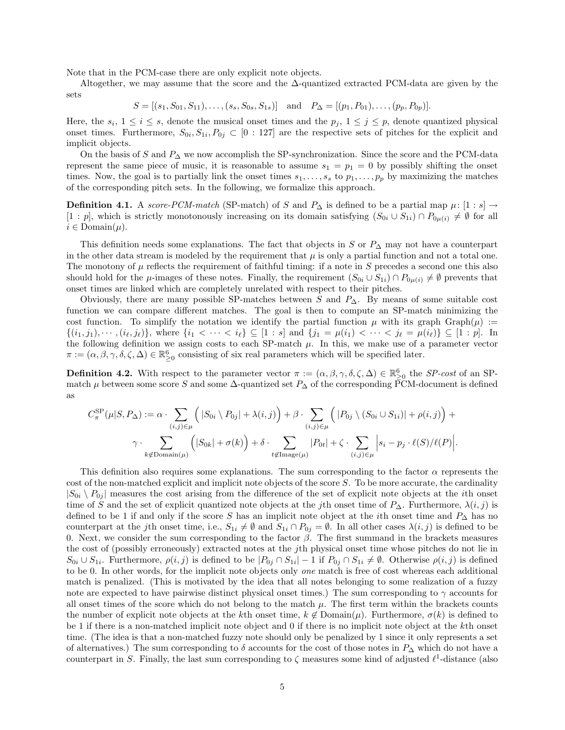Note that in the PCM-case there are only explicit note objects.

Altogether, we may assume that the score and the  $\Delta$ -quantized extracted PCM-data are given by the sets

 $S = [(s_1, S_{01}, S_{11}), \ldots, (s_s, S_{0s}, S_{1s})]$  and  $P_{\Delta} = [(p_1, P_{01}), \ldots, (p_p, P_{0p})]$ .

Here, the  $s_i, 1 \leq i \leq s$ , denote the musical onset times and the  $p_j, 1 \leq j \leq p$ , denote quantized physical onset times. Furthermore,  $S_{0i}$ ,  $S_{1i}$ ,  $P_{0j} \subset [0:127]$  are the respective sets of pitches for the explicit and implicit objects.

On the basis of S and  $P_{\Delta}$  we now accomplish the SP-synchronization. Since the score and the PCM-data represent the same piece of music, it is reasonable to assume  $s_1 = p_1 = 0$  by possibly shifting the onset times. Now, the goal is to partially link the onset times  $s_1, \ldots, s_s$  to  $p_1, \ldots, p_p$  by maximizing the matches of the corresponding pitch sets. In the following, we formalize this approach.

Definition 4.1. A score-PCM-match (SP-match) of S and  $P_{\Delta}$  is defined to be a partial map  $\mu$ : [1 : s] →  $[1:p]$ , which is strictly monotonously increasing on its domain satisfying  $(S_{0i} \cup S_{1i}) \cap P_{0\mu(i)} \neq \emptyset$  for all  $i \in \text{Domain}(\mu)$ .

This definition needs some explanations. The fact that objects in S or  $P_{\Delta}$  may not have a counterpart in the other data stream is modeled by the requirement that  $\mu$  is only a partial function and not a total one. The monotony of  $\mu$  reflects the requirement of faithful timing: if a note in S precedes a second one this also should hold for the  $\mu$ -images of these notes. Finally, the requirement  $(S_{0i} \cup S_{1i}) \cap P_{0\mu(i)} \neq \emptyset$  prevents that onset times are linked which are completely unrelated with respect to their pitches.

Obviously, there are many possible SP-matches between S and  $P_{\Delta}$ . By means of some suitable cost function we can compare different matches. The goal is then to compute an SP-match minimizing the cost function. To simplify the notation we identify the partial function  $\mu$  with its graph Graph $(\mu)$  :=  $\{(i_1, j_1), \cdots, (i_\ell, j_\ell)\}\)$ , where  $\{i_1 < \cdots < i_\ell\} \subseteq [1 : s]$  and  $\{j_1 = \mu(i_1) < \cdots < j_\ell = \mu(i_\ell)\} \subseteq [1 : p]$ . In the following definition we assign costs to each SP-match  $\mu$ . In this, we make use of a parameter vector  $\pi := (\alpha, \beta, \gamma, \delta, \zeta, \Delta) \in \mathbb{R}_{\geq 0}^6$  consisting of six real parameters which will be specified later.

**Definition 4.2.** With respect to the parameter vector  $\pi := (\alpha, \beta, \gamma, \delta, \zeta, \Delta) \in \mathbb{R}_{\geq 0}^6$  the *SP-cost* of an SPmatch  $\mu$  between some score S and some  $\Delta$ -quantized set  $P_{\Delta}$  of the corresponding PCM-document is defined as

$$
C_{\pi}^{\rm SP}(\mu|S, P_{\Delta}) := \alpha \cdot \sum_{(i,j) \in \mu} \left( |S_{0i} \setminus P_{0j}| + \lambda(i,j) \right) + \beta \cdot \sum_{(i,j) \in \mu} \left( |P_{0j} \setminus (S_{0i} \cup S_{1i})| + \rho(i,j) \right) + \gamma \cdot \sum_{k \notin \text{Domain}(\mu)} \left( |S_{0k}| + \sigma(k) \right) + \delta \cdot \sum_{t \notin \text{Image}(\mu)} |P_{0t}| + \zeta \cdot \sum_{(i,j) \in \mu} \left| s_i - p_j \cdot \ell(S) / \ell(P) \right|.
$$

This definition also requires some explanations. The sum corresponding to the factor  $\alpha$  represents the cost of the non-matched explicit and implicit note objects of the score S. To be more accurate, the cardinality  $|S_{0i} \rangle P_{0j}|$  measures the cost arising from the difference of the set of explicit note objects at the *i*th onset time of S and the set of explicit quantized note objects at the jth onset time of  $P_{\Delta}$ . Furthermore,  $\lambda(i, j)$  is defined to be 1 if and only if the score S has an implicit note object at the *i*th onset time and  $P_{\Delta}$  has no counterpart at the jth onset time, i.e.,  $S_{1i} \neq \emptyset$  and  $S_{1i} \cap P_{0j} = \emptyset$ . In all other cases  $\lambda(i, j)$  is defined to be 0. Next, we consider the sum corresponding to the factor  $\beta$ . The first summand in the brackets measures the cost of (possibly erroneously) extracted notes at the jth physical onset time whose pitches do not lie in  $S_{0i} \cup S_{1i}$ . Furthermore,  $\rho(i, j)$  is defined to be  $|P_{0j} \cap S_{1i}| - 1$  if  $P_{0j} \cap S_{1i} \neq \emptyset$ . Otherwise  $\rho(i, j)$  is defined to be 0. In other words, for the implicit note objects only one match is free of cost whereas each additional match is penalized. (This is motivated by the idea that all notes belonging to some realization of a fuzzy note are expected to have pairwise distinct physical onset times.) The sum corresponding to  $\gamma$  accounts for all onset times of the score which do not belong to the match  $\mu$ . The first term within the brackets counts the number of explicit note objects at the kth onset time,  $k \notin \text{Domain}(\mu)$ . Furthermore,  $\sigma(k)$  is defined to be 1 if there is a non-matched implicit note object and 0 if there is no implicit note object at the kth onset time. (The idea is that a non-matched fuzzy note should only be penalized by 1 since it only represents a set of alternatives.) The sum corresponding to  $\delta$  accounts for the cost of those notes in  $P_{\Delta}$  which do not have a counterpart in S. Finally, the last sum corresponding to  $\zeta$  measures some kind of adjusted  $\ell^1$ -distance (also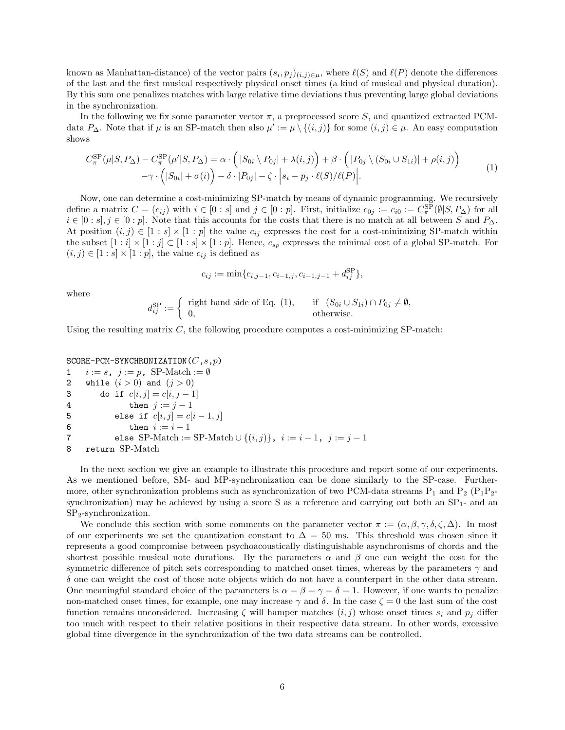known as Manhattan-distance) of the vector pairs  $(s_i, p_j)_{(i,j)\in\mu}$ , where  $\ell(S)$  and  $\ell(P)$  denote the differences of the last and the first musical respectively physical onset times (a kind of musical and physical duration). By this sum one penalizes matches with large relative time deviations thus preventing large global deviations in the synchronization.

In the following we fix some parameter vector  $\pi$ , a preprocessed score S, and quantized extracted PCMdata  $P_{\Delta}$ . Note that if  $\mu$  is an SP-match then also  $\mu' := \mu \setminus \{(i,j)\}\$ for some  $(i,j) \in \mu$ . An easy computation shows

$$
C_{\pi}^{\rm SP}(\mu|S, P_{\Delta}) - C_{\pi}^{\rm SP}(\mu'|S, P_{\Delta}) = \alpha \cdot (|S_{0i} \setminus P_{0j}| + \lambda(i, j)) + \beta \cdot (|P_{0j} \setminus (S_{0i} \cup S_{1i})| + \rho(i, j)) - \gamma \cdot (|S_{0i}| + \sigma(i)) - \delta \cdot |P_{0j}| - \zeta \cdot |s_i - p_j \cdot \ell(S)/\ell(P)|.
$$
\n(1)

Now, one can determine a cost-minimizing SP-match by means of dynamic programming. We recursively define a matrix  $C = (c_{ij})$  with  $i \in [0:s]$  and  $j \in [0:p]$ . First, initialize  $c_{0j} := c_{i0} := C_{\pi}^{\text{SP}}(\emptyset | S, P_{\Delta})$  for all  $i \in [0:s], j \in [0:p]$ . Note that this accounts for the costs that there is no match at all between S and  $P_{\Delta}$ . At position  $(i, j) \in [1:s] \times [1:p]$  the value  $c_{ij}$  expresses the cost for a cost-minimizing SP-match within the subset  $[1:i] \times [1:j] \subset [1:s] \times [1:p]$ . Hence,  $c_{sp}$  expresses the minimal cost of a global SP-match. For  $(i, j) \in [1:s] \times [1:p]$ , the value  $c_{ij}$  is defined as

$$
c_{ij} := \min\{c_{i,j-1}, c_{i-1,j}, c_{i-1,j-1} + d_{ij}^{\text{SP}}\},\
$$

where

$$
d_{ij}^{\rm SP} := \begin{cases} \text{ right hand side of Eq. (1)}, & \text{if } (S_{0i} \cup S_{1i}) \cap P_{0j} \neq \emptyset, \\ 0, & \text{otherwise.} \end{cases}
$$

Using the resulting matrix  $C$ , the following procedure computes a cost-minimizing SP-match:

SCORE-PCM-SYNCHRONIZATION $(C,s,p)$ 1  $i := s, j := p$ , SP-Match := Ø 2 while  $(i > 0)$  and  $(j > 0)$ 3 do if  $c[i, j] = c[i, j - 1]$ 4 then  $j := j - 1$ 5 else if  $c[i, j] = c[i - 1, j]$ 6 then  $i := i - 1$ 7 else SP-Match := SP-Match ∪  $\{(i,j)\}\,$ ,  $i := i - 1$ ,  $j := j - 1$ 8 return SP-Match

In the next section we give an example to illustrate this procedure and report some of our experiments. As we mentioned before, SM- and MP-synchronization can be done similarly to the SP-case. Furthermore, other synchronization problems such as synchronization of two PCM-data streams  $P_1$  and  $P_2$  ( $P_1P_2$ synchronization) may be achieved by using a score S as a reference and carrying out both an  $SP<sub>1</sub>$ - and an SP2-synchronization.

We conclude this section with some comments on the parameter vector  $\pi := (\alpha, \beta, \gamma, \delta, \zeta, \Delta)$ . In most of our experiments we set the quantization constant to  $\Delta = 50$  ms. This threshold was chosen since it represents a good compromise between psychoacoustically distinguishable asynchronisms of chords and the shortest possible musical note durations. By the parameters  $\alpha$  and  $\beta$  one can weight the cost for the symmetric difference of pitch sets corresponding to matched onset times, whereas by the parameters  $\gamma$  and  $\delta$  one can weight the cost of those note objects which do not have a counterpart in the other data stream. One meaningful standard choice of the parameters is  $\alpha = \beta = \gamma = \delta = 1$ . However, if one wants to penalize non-matched onset times, for example, one may increase  $\gamma$  and  $\delta$ . In the case  $\zeta = 0$  the last sum of the cost function remains unconsidered. Increasing  $\zeta$  will hamper matches  $(i, j)$  whose onset times  $s_i$  and  $p_j$  differ too much with respect to their relative positions in their respective data stream. In other words, excessive global time divergence in the synchronization of the two data streams can be controlled.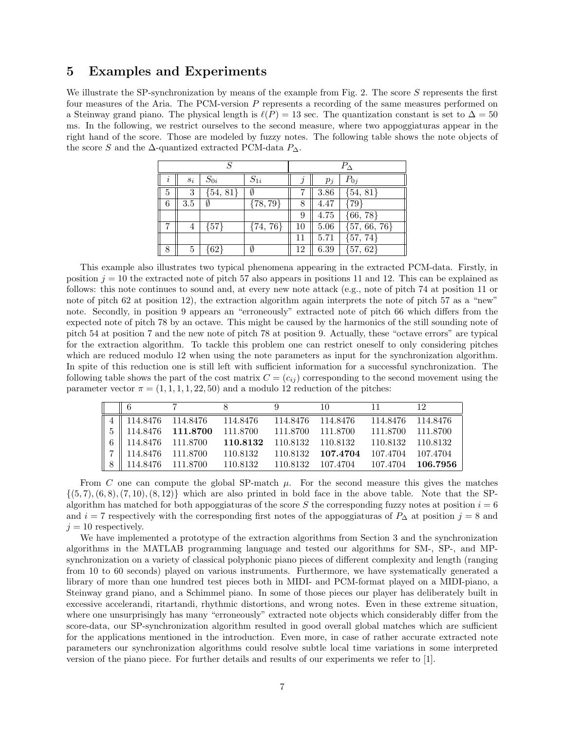### 5 Examples and Experiments

We illustrate the SP-synchronization by means of the example from Fig. 2. The score S represents the first four measures of the Aria. The PCM-version P represents a recording of the same measures performed on a Steinway grand piano. The physical length is  $\ell(P) = 13$  sec. The quantization constant is set to  $\Delta = 50$ ms. In the following, we restrict ourselves to the second measure, where two appoggiaturas appear in the right hand of the score. Those are modeled by fuzzy notes. The following table shows the note objects of the score S and the  $\Delta$ -quantized extracted PCM-data  $P_{\Delta}$ .

| S |       |              |              | $P_{\Delta}$ |          |                  |  |
|---|-------|--------------|--------------|--------------|----------|------------------|--|
| i | $s_i$ | $S_{0i}$     | $S_{1i}$     |              | $p_i$    | $P_{0j}$         |  |
| 5 | 3     | $\{54, 81\}$ | Ø            |              | $3.86\,$ | $\{54, 81\}$     |  |
| 6 | 3.5   | Ø            | $\{78, 79\}$ | 8            | 4.47     | ${79}$           |  |
|   |       |              |              | 9            | 4.75     | $\{66, 78\}$     |  |
| 7 | 4     | ${57}$       | $\{74, 76\}$ | 10           | 5.06     | $\{57, 66, 76\}$ |  |
|   |       |              |              | 11           | 5.71     | ${57, 74}$       |  |
| 8 | 5     | $\{62\}$     | Ø            | 12           | 6.39     | ${57, 62}$       |  |

This example also illustrates two typical phenomena appearing in the extracted PCM-data. Firstly, in position  $j = 10$  the extracted note of pitch 57 also appears in positions 11 and 12. This can be explained as follows: this note continues to sound and, at every new note attack (e.g., note of pitch 74 at position 11 or note of pitch 62 at position 12), the extraction algorithm again interprets the note of pitch 57 as a "new" note. Secondly, in position 9 appears an "erroneously" extracted note of pitch 66 which differs from the expected note of pitch 78 by an octave. This might be caused by the harmonics of the still sounding note of pitch 54 at position 7 and the new note of pitch 78 at position 9. Actually, these "octave errors" are typical for the extraction algorithm. To tackle this problem one can restrict oneself to only considering pitches which are reduced modulo 12 when using the note parameters as input for the synchronization algorithm. In spite of this reduction one is still left with sufficient information for a successful synchronization. The following table shows the part of the cost matrix  $C = (c_{ij})$  corresponding to the second movement using the parameter vector  $\pi = (1, 1, 1, 1, 22, 50)$  and a modulo 12 reduction of the pitches:

|   | II 6                  |                                                      |                                                            |                   | 10                                  | 11                | 12 |
|---|-----------------------|------------------------------------------------------|------------------------------------------------------------|-------------------|-------------------------------------|-------------------|----|
|   |                       | $4 \parallel 114.8476 \quad 114.8476 \quad 114.8476$ |                                                            | 114.8476 114.8476 |                                     | 114.8476 114.8476 |    |
|   |                       |                                                      | $5 \parallel 114.8476$ 111.8700 111.8700 111.8700 111.8700 |                   |                                     | 111.8700 111.8700 |    |
|   |                       | 6   114.8476 111.8700 110.8132                       |                                                            |                   | 110.8132 110.8132 110.8132 110.8132 |                   |    |
|   | 7   114.8476 111.8700 |                                                      | 110.8132                                                   |                   | 110.8132 107.4704                   | 107.4704 107.4704 |    |
| 8 | 114.8476 111.8700     |                                                      | 110.8132                                                   |                   | 110.8132 107.4704 107.4704 106.7956 |                   |    |

From C one can compute the global SP-match  $\mu$ . For the second measure this gives the matches  $\{(5,7), (6,8), (7,10), (8,12)\}\$  which are also printed in bold face in the above table. Note that the SPalgorithm has matched for both appoggiaturas of the score S the corresponding fuzzy notes at position  $i = 6$ and  $i = 7$  respectively with the corresponding first notes of the appoggiaturas of  $P_{\Delta}$  at position  $j = 8$  and  $j = 10$  respectively.

We have implemented a prototype of the extraction algorithms from Section 3 and the synchronization algorithms in the MATLAB programming language and tested our algorithms for SM-, SP-, and MPsynchronization on a variety of classical polyphonic piano pieces of different complexity and length (ranging from 10 to 60 seconds) played on various instruments. Furthermore, we have systematically generated a library of more than one hundred test pieces both in MIDI- and PCM-format played on a MIDI-piano, a Steinway grand piano, and a Schimmel piano. In some of those pieces our player has deliberately built in excessive accelerandi, ritartandi, rhythmic distortions, and wrong notes. Even in these extreme situation, where one unsurprisingly has many "erroneously" extracted note objects which considerably differ from the score-data, our SP-synchronization algorithm resulted in good overall global matches which are sufficient for the applications mentioned in the introduction. Even more, in case of rather accurate extracted note parameters our synchronization algorithms could resolve subtle local time variations in some interpreted version of the piano piece. For further details and results of our experiments we refer to [1].